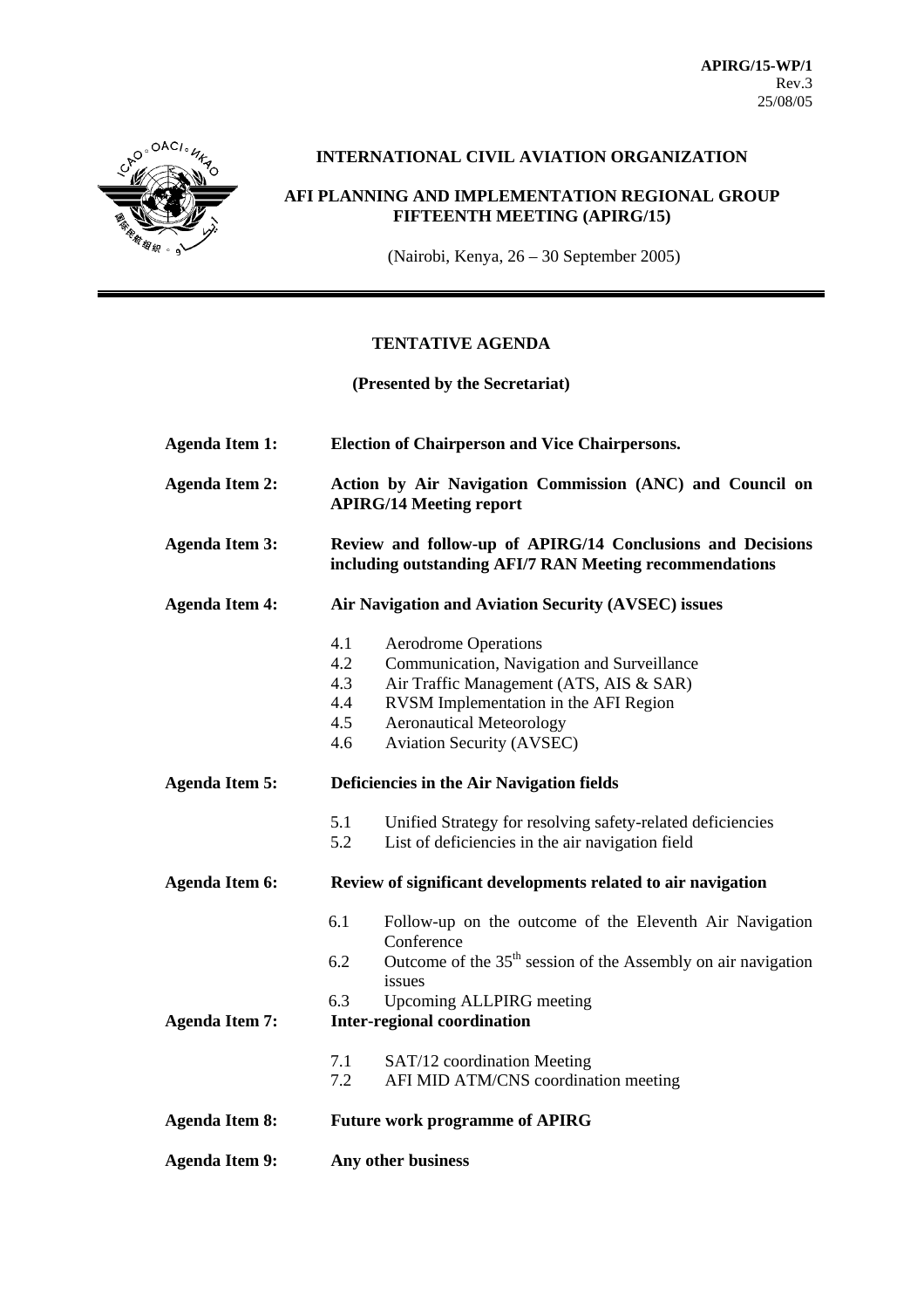

# **INTERNATIONAL CIVIL AVIATION ORGANIZATION**

# **AFI PLANNING AND IMPLEMENTATION REGIONAL GROUP FIFTEENTH MEETING (APIRG/15)**

(Nairobi, Kenya, 26 – 30 September 2005)

# **TENTATIVE AGENDA**

**(Presented by the Secretariat)** 

| <b>Agenda Item 1:</b> | <b>Election of Chairperson and Vice Chairpersons.</b>                                                                                                                                                                                                                          |
|-----------------------|--------------------------------------------------------------------------------------------------------------------------------------------------------------------------------------------------------------------------------------------------------------------------------|
| <b>Agenda Item 2:</b> | Action by Air Navigation Commission (ANC) and Council on<br><b>APIRG/14 Meeting report</b>                                                                                                                                                                                     |
| <b>Agenda Item 3:</b> | Review and follow-up of APIRG/14 Conclusions and Decisions<br>including outstanding AFI/7 RAN Meeting recommendations                                                                                                                                                          |
| <b>Agenda Item 4:</b> | Air Navigation and Aviation Security (AVSEC) issues                                                                                                                                                                                                                            |
|                       | 4.1<br><b>Aerodrome Operations</b><br>4.2<br>Communication, Navigation and Surveillance<br>4.3<br>Air Traffic Management (ATS, AIS & SAR)<br>4.4<br>RVSM Implementation in the AFI Region<br>4.5<br><b>Aeronautical Meteorology</b><br>4.6<br><b>Aviation Security (AVSEC)</b> |
| <b>Agenda Item 5:</b> | Deficiencies in the Air Navigation fields                                                                                                                                                                                                                                      |
|                       | 5.1<br>Unified Strategy for resolving safety-related deficiencies<br>5.2<br>List of deficiencies in the air navigation field                                                                                                                                                   |
| <b>Agenda Item 6:</b> | Review of significant developments related to air navigation                                                                                                                                                                                                                   |
|                       | 6.1<br>Follow-up on the outcome of the Eleventh Air Navigation<br>Conference<br>Outcome of the $35th$ session of the Assembly on air navigation<br>6.2                                                                                                                         |
|                       | issues<br>6.3<br>Upcoming ALLPIRG meeting                                                                                                                                                                                                                                      |
| <b>Agenda Item 7:</b> | <b>Inter-regional coordination</b>                                                                                                                                                                                                                                             |
|                       | 7.1<br>SAT/12 coordination Meeting<br>7.2<br>AFI MID ATM/CNS coordination meeting                                                                                                                                                                                              |
| <b>Agenda Item 8:</b> | <b>Future work programme of APIRG</b>                                                                                                                                                                                                                                          |
| <b>Agenda Item 9:</b> | Any other business                                                                                                                                                                                                                                                             |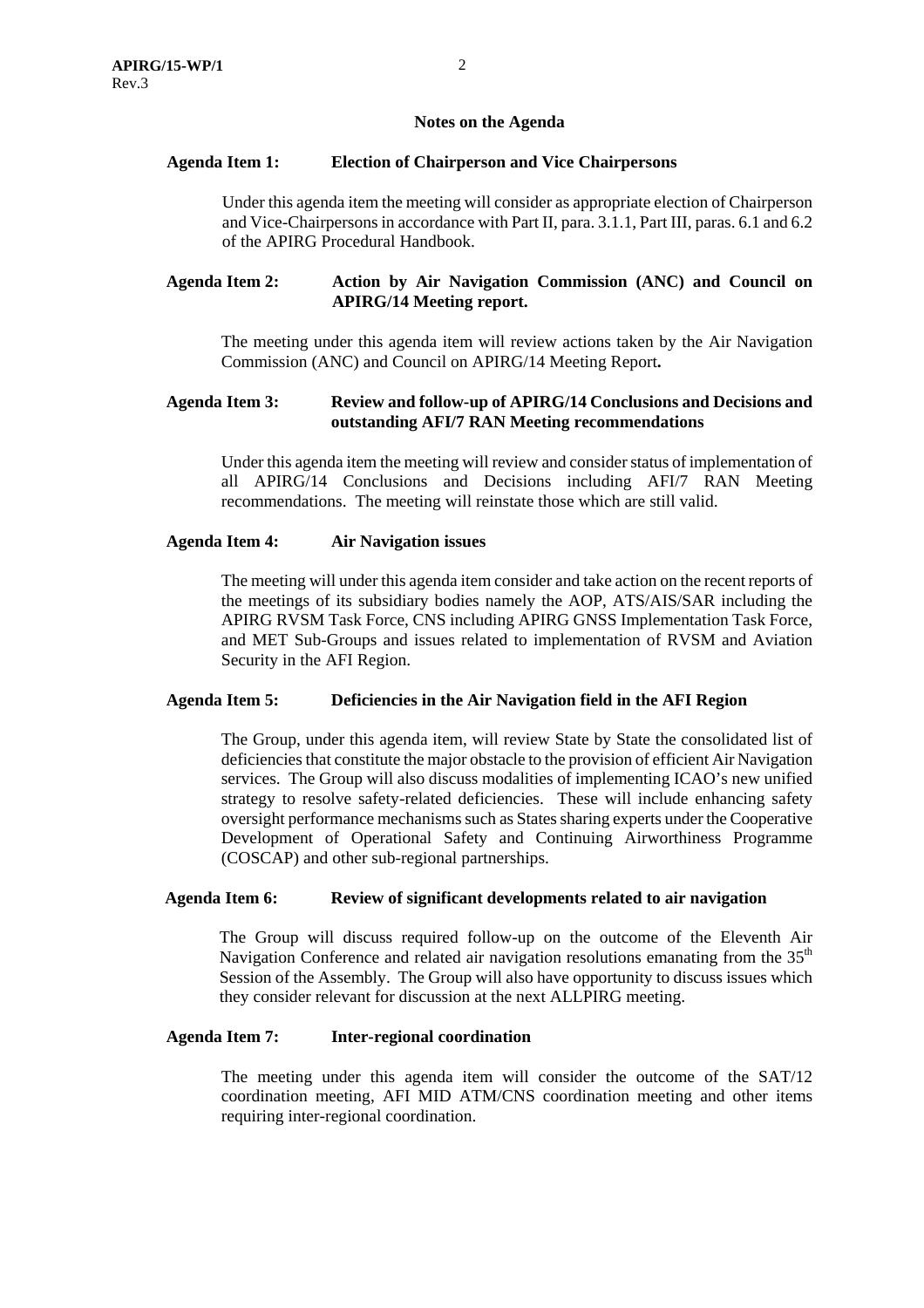#### **Notes on the Agenda**

### **Agenda Item 1: Election of Chairperson and Vice Chairpersons**

Under this agenda item the meeting will consider as appropriate election of Chairperson and Vice-Chairpersons in accordance with Part II, para. 3.1.1, Part III, paras. 6.1 and 6.2 of the APIRG Procedural Handbook.

### **Agenda Item 2: Action by Air Navigation Commission (ANC) and Council on APIRG/14 Meeting report.**

The meeting under this agenda item will review actions taken by the Air Navigation Commission (ANC) and Council on APIRG/14 Meeting Report**.** 

# **Agenda Item 3: Review and follow-up of APIRG/14 Conclusions and Decisions and outstanding AFI/7 RAN Meeting recommendations**

Under this agenda item the meeting will review and consider status of implementation of all APIRG/14 Conclusions and Decisions including AFI/7 RAN Meeting recommendations. The meeting will reinstate those which are still valid.

### **Agenda Item 4: Air Navigation issues**

The meeting will under this agenda item consider and take action on the recent reports of the meetings of its subsidiary bodies namely the AOP, ATS/AIS/SAR including the APIRG RVSM Task Force, CNS including APIRG GNSS Implementation Task Force, and MET Sub-Groups and issues related to implementation of RVSM and Aviation Security in the AFI Region.

#### **Agenda Item 5: Deficiencies in the Air Navigation field in the AFI Region**

The Group, under this agenda item, will review State by State the consolidated list of deficiencies that constitute the major obstacle to the provision of efficient Air Navigation services. The Group will also discuss modalities of implementing ICAO's new unified strategy to resolve safety-related deficiencies. These will include enhancing safety oversight performance mechanisms such as States sharing experts under the Cooperative Development of Operational Safety and Continuing Airworthiness Programme (COSCAP) and other sub-regional partnerships.

#### **Agenda Item 6: Review of significant developments related to air navigation**

The Group will discuss required follow-up on the outcome of the Eleventh Air Navigation Conference and related air navigation resolutions emanating from the  $35<sup>th</sup>$ Session of the Assembly. The Group will also have opportunity to discuss issues which they consider relevant for discussion at the next ALLPIRG meeting.

#### **Agenda Item 7: Inter-regional coordination**

The meeting under this agenda item will consider the outcome of the SAT/12 coordination meeting, AFI MID ATM/CNS coordination meeting and other items requiring inter-regional coordination.